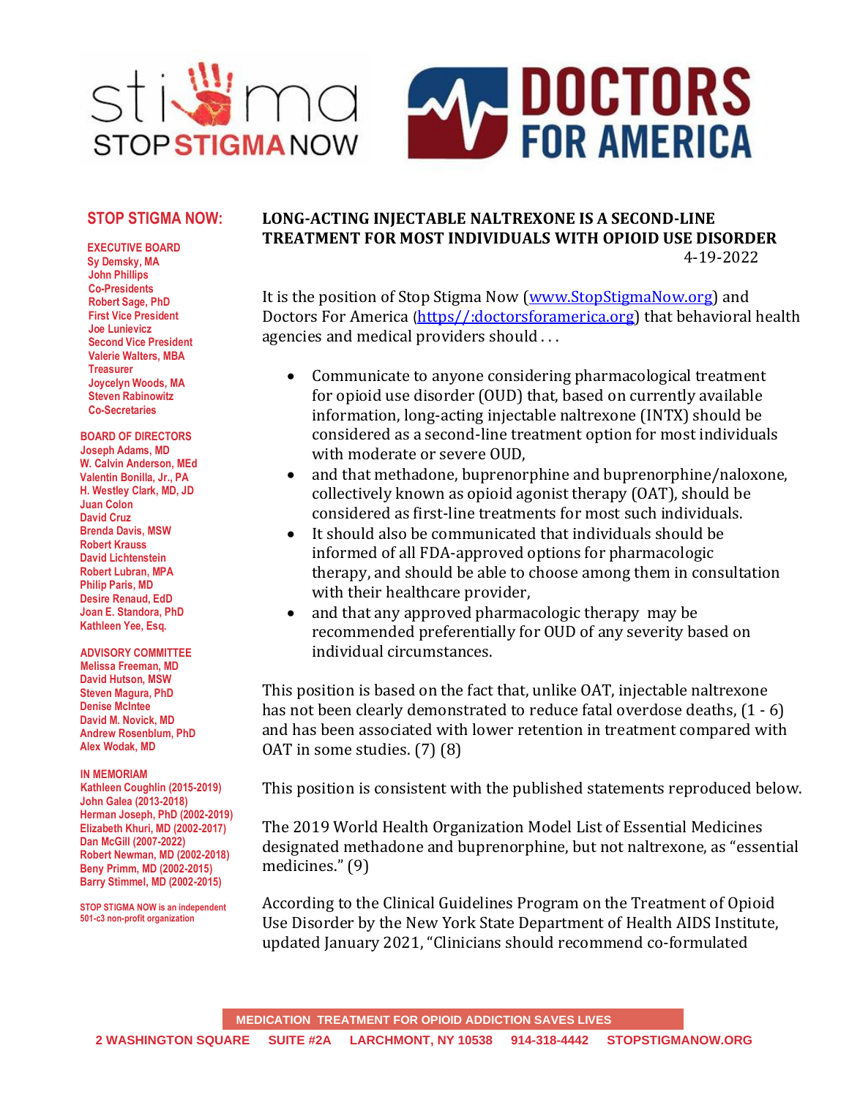

### **STOP STIGMA NOW:**

**EXECUTIVE BOARD Sy Demsky, MA John Phillips Co-Presidents Robert Sage, PhD First Vice President Joe Lunievicz Second Vice President Valerie Walters, MBA Treasurer Joycelyn Woods, MA Steven Rabinowitz Co-Secretaries**

**BOARD OF DIRECTORS Joseph Adams, MD W. Calvin Anderson, MEd Valentin Bonilla, Jr., PA H. Westley Clark, MD, JD Juan Colon David Cruz Brenda Davis, MSW Robert Krauss David Lichtenstein Robert Lubran, MPA Philip Paris, MD Desire Renaud, EdD Joan E. Standora, PhD Kathleen Yee, Esq.**

#### **ADVISORY COMMITTEE Melissa Freeman, MD David Hutson, MSW Steven Magura, PhD Denise McIntee David M. Novick, MD Andrew Rosenblum, PhD Alex Wodak, MD**

#### **IN MEMORIAM**

**Kathleen Coughlin (2015-2019) John Galea (2013-2018) Herman Joseph, PhD (2002-2019) Elizabeth Khuri, MD (2002-2017) Dan McGill (2007-2022) Robert Newman, MD (2002-2018) Beny Primm, MD (2002-2015) Barry Stimmel, MD (2002-2015)**

**STOP STIGMA NOW is an independent 501-c3 non-profit organization**

## **LONG-ACTING INJECTABLE NALTREXONE IS A SECOND-LINE TREATMENT FOR MOST INDIVIDUALS WITH OPIOID USE DISORDER** 4-19-2022

It is the position of Stop Stigma Now [\(www.StopStigmaNow.org\)](http://www.stopstigmanow.org/) and Doctors For America ([https//:doctorsforamerica.org\)](/Users/josephadams/Google%20Drive/DOCUMENTS%20REALLY%20complete%2010-2020/Addictions/Stop%20Stigma%20Now/POLICY%20SSN/https/:doctorsforamerica.org) that behavioral health agencies and medical providers should . . .

- Communicate to anyone considering pharmacological treatment for opioid use disorder (OUD) that, based on currently available information, long-acting injectable naltrexone (INTX) should be considered as a second-line treatment option for most individuals with moderate or severe OUD,
- and that methadone, buprenorphine and buprenorphine/naloxone, collectively known as opioid agonist therapy (OAT), should be considered as first-line treatments for most such individuals.
- It should also be communicated that individuals should be informed of all FDA-approved options for pharmacologic therapy, and should be able to choose among them in consultation with their healthcare provider,
- and that any approved pharmacologic therapy may be recommended preferentially for OUD of any severity based on individual circumstances.

This position is based on the fact that, unlike OAT, injectable naltrexone has not been clearly demonstrated to reduce fatal overdose deaths,  $(1 - 6)$ and has been associated with lower retention in treatment compared with OAT in some studies. (7) (8)

This position is consistent with the published statements reproduced below.

The 2019 World Health Organization Model List of Essential Medicines designated methadone and buprenorphine, but not naltrexone, as "essential medicines." (9)

According to the Clinical Guidelines Program on the Treatment of Opioid Use Disorder by the New York State Department of Health AIDS Institute, updated January 2021, "Clinicians should recommend co-formulated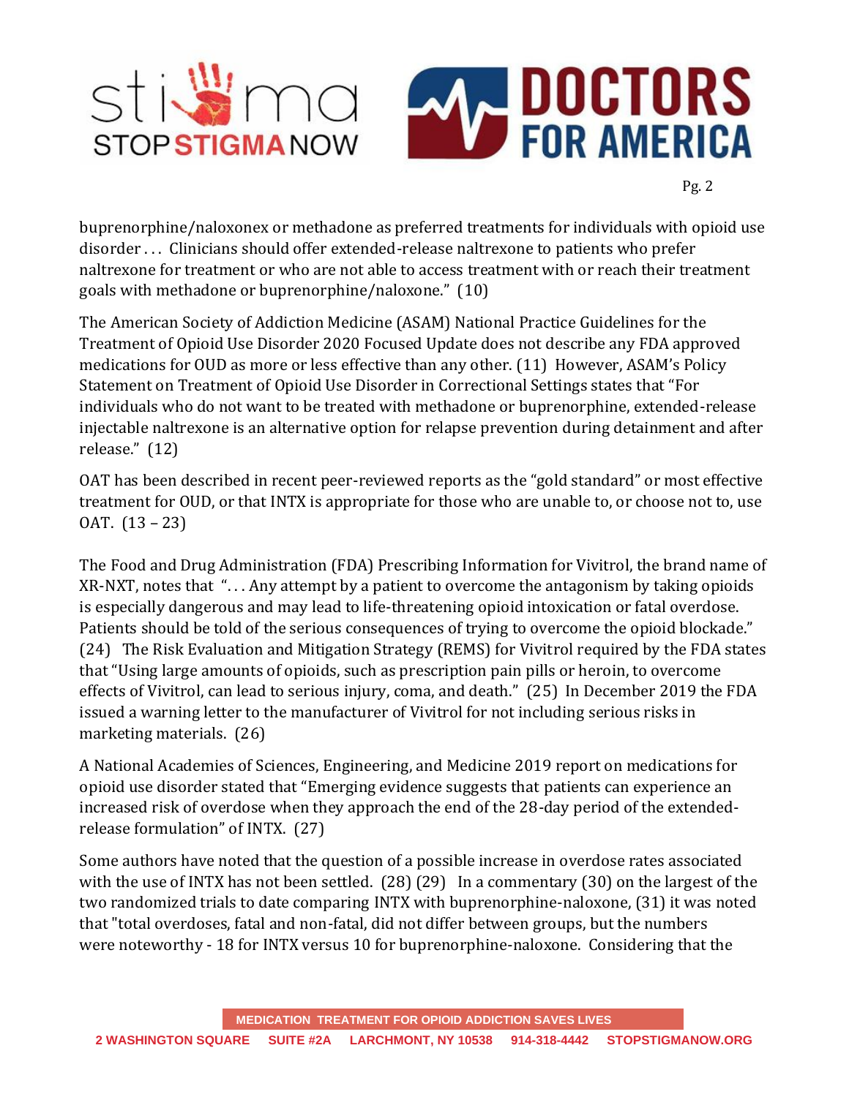

Pg. 2

buprenorphine/naloxonex or methadone as preferred treatments for individuals with opioid use disorder . . . Clinicians should offer extended-release naltrexone to patients who prefer naltrexone for treatment or who are not able to access treatment with or reach their treatment goals with methadone or buprenorphine/naloxone." (10)

The American Society of Addiction Medicine (ASAM) National Practice Guidelines for the Treatment of Opioid Use Disorder 2020 Focused Update does not describe any FDA approved medications for OUD as more or less effective than any other. (11) However, ASAM's Policy Statement on Treatment of Opioid Use Disorder in Correctional Settings states that "For individuals who do not want to be treated with methadone or buprenorphine, extended-release injectable naltrexone is an alternative option for relapse prevention during detainment and after release." (12)

OAT has been described in recent peer-reviewed reports as the "gold standard" or most effective treatment for OUD, or that INTX is appropriate for those who are unable to, or choose not to, use OAT. (13 – 23)

The Food and Drug Administration (FDA) Prescribing Information for Vivitrol, the brand name of XR-NXT, notes that ". . . Any attempt by a patient to overcome the antagonism by taking opioids is especially dangerous and may lead to life-threatening opioid intoxication or fatal overdose. Patients should be told of the serious consequences of trying to overcome the opioid blockade." (24) The Risk Evaluation and Mitigation Strategy (REMS) for Vivitrol required by the FDA states that "Using large amounts of opioids, such as prescription pain pills or heroin, to overcome effects of Vivitrol, can lead to serious injury, coma, and death." (25) In December 2019 the FDA issued a warning letter to the manufacturer of Vivitrol for not including serious risks in marketing materials. (26)

A National Academies of Sciences, Engineering, and Medicine 2019 report on medications for opioid use disorder stated that "Emerging evidence suggests that patients can experience an increased risk of overdose when they approach the end of the 28-day period of the extendedrelease formulation" of INTX. (27)

Some authors have noted that the question of a possible increase in overdose rates associated with the use of INTX has not been settled. (28) (29) In a commentary (30) on the largest of the two randomized trials to date comparing INTX with buprenorphine-naloxone, (31) it was noted that "total overdoses, fatal and non-fatal, did not differ between groups, but the numbers were noteworthy - 18 for INTX versus 10 for buprenorphine-naloxone. Considering that the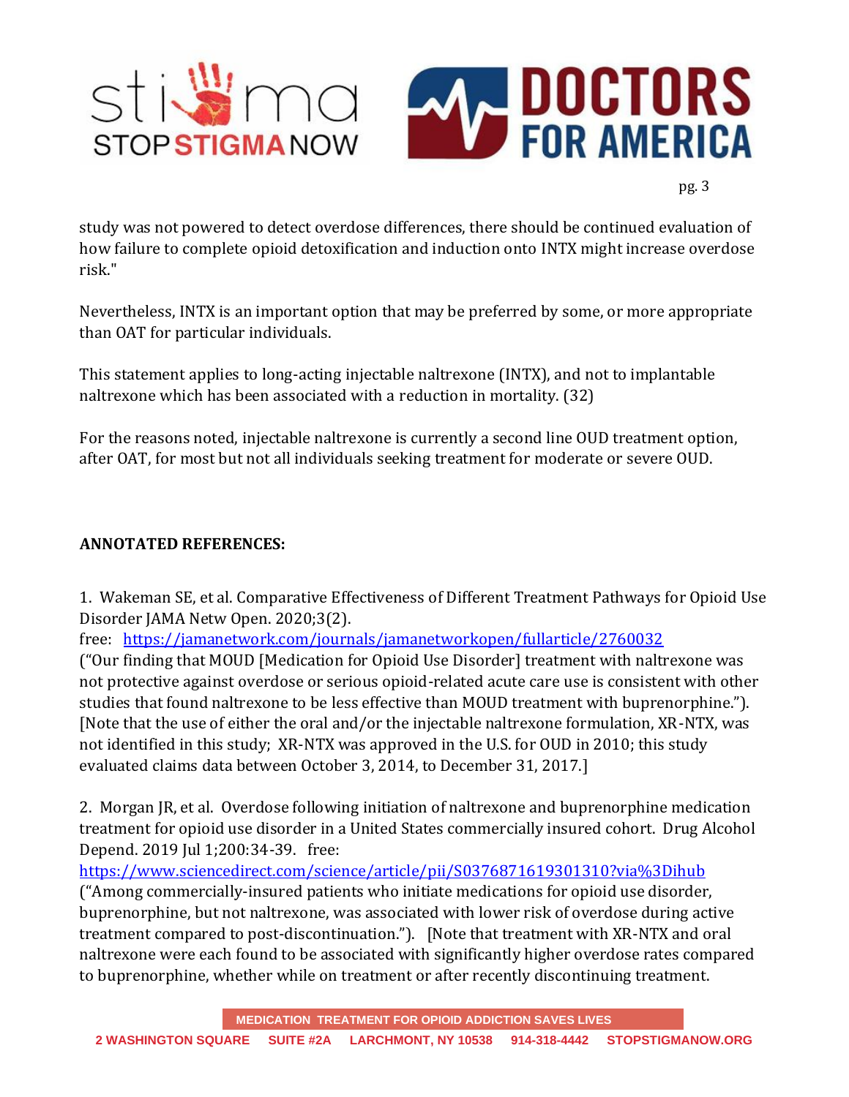

study was not powered to detect overdose differences, there should be continued evaluation of how failure to complete opioid detoxification and induction onto INTX might increase overdose risk."

Nevertheless, INTX is an important option that may be preferred by some, or more appropriate than OAT for particular individuals.

This statement applies to long-acting injectable naltrexone (INTX), and not to implantable naltrexone which has been associated with a reduction in mortality. (32)

For the reasons noted, injectable naltrexone is currently a second line OUD treatment option, after OAT, for most but not all individuals seeking treatment for moderate or severe OUD.

# **ANNOTATED REFERENCES:**

1. Wakeman SE, et al. Comparative Effectiveness of Different Treatment Pathways for Opioid Use Disorder JAMA Netw Open. 2020;3(2).

free: <https://jamanetwork.com/journals/jamanetworkopen/fullarticle/2760032>

("Our finding that MOUD [Medication for Opioid Use Disorder] treatment with naltrexone was not protective against overdose or serious opioid-related acute care use is consistent with other studies that found naltrexone to be less effective than MOUD treatment with buprenorphine."). [Note that the use of either the oral and/or the injectable naltrexone formulation, XR-NTX, was not identified in this study; XR-NTX was approved in the U.S. for OUD in 2010; this study evaluated claims data between October 3, 2014, to December 31, 2017.]

2. Morgan JR, et al. Overdose following initiation of naltrexone and buprenorphine medication treatment for opioid use disorder in a United States commercially insured cohort. Drug Alcohol Depend. 2019 Jul 1;200:34-39. free:

<https://www.sciencedirect.com/science/article/pii/S0376871619301310?via%3Dihub>

("Among commercially-insured patients who initiate medications for opioid use disorder, buprenorphine, but not naltrexone, was associated with lower risk of overdose during active treatment compared to post-discontinuation."). [Note that treatment with XR-NTX and oral naltrexone were each found to be associated with significantly higher overdose rates compared to buprenorphine, whether while on treatment or after recently discontinuing treatment.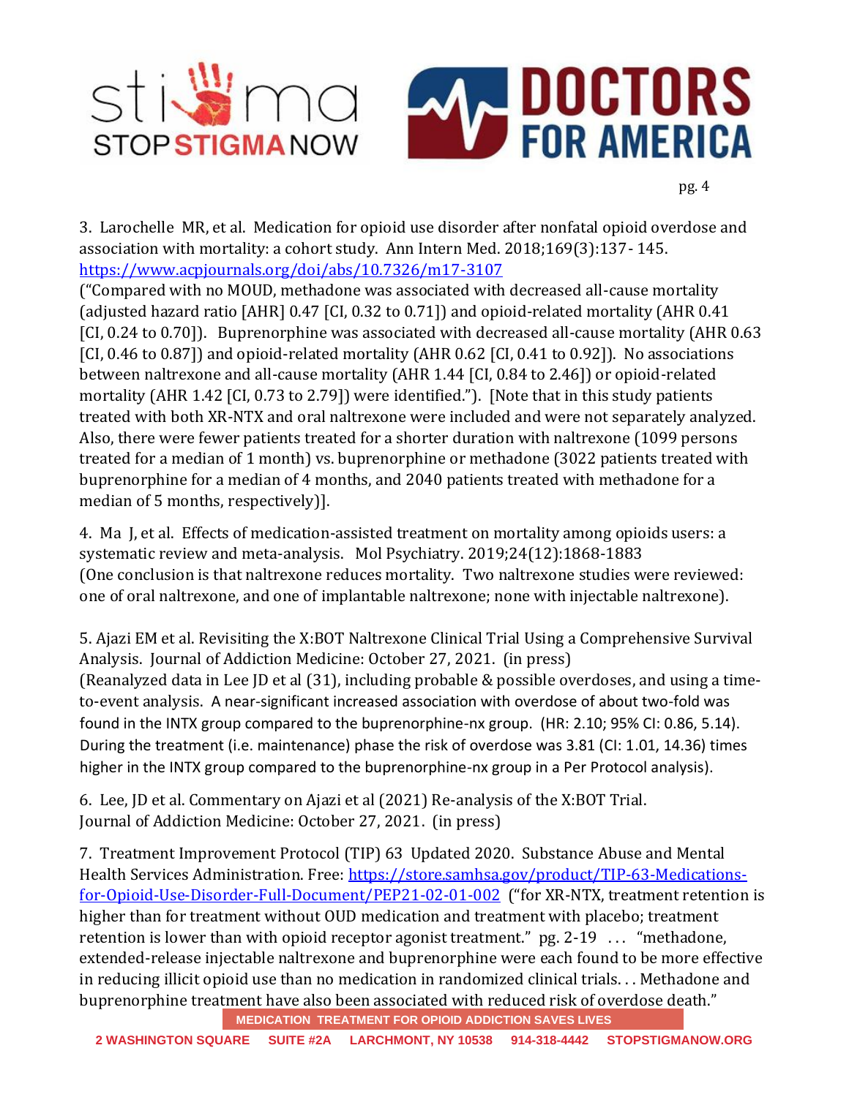

3. Larochelle MR, et al. Medication for opioid use disorder after nonfatal opioid overdose and association with mortality: a cohort study. Ann Intern Med. 2018;169(3):137- 145. <https://www.acpjournals.org/doi/abs/10.7326/m17-3107>

("Compared with no MOUD, methadone was associated with decreased all-cause mortality (adjusted hazard ratio [AHR] 0.47 [CI, 0.32 to 0.71]) and opioid-related mortality (AHR 0.41 [CI, 0.24 to 0.70]). Buprenorphine was associated with decreased all-cause mortality (AHR 0.63 [CI, 0.46 to 0.87]) and opioid-related mortality (AHR 0.62 [CI, 0.41 to 0.92]). No associations between naltrexone and all-cause mortality (AHR 1.44 [CI, 0.84 to 2.46]) or opioid-related mortality (AHR 1.42 [CI, 0.73 to 2.79]) were identified."). [Note that in this study patients treated with both XR-NTX and oral naltrexone were included and were not separately analyzed. Also, there were fewer patients treated for a shorter duration with naltrexone (1099 persons treated for a median of 1 month) vs. buprenorphine or methadone (3022 patients treated with buprenorphine for a median of 4 months, and 2040 patients treated with methadone for a median of 5 months, respectively)].

4. Ma J, et al. Effects of medication-assisted treatment on mortality among opioids users: a systematic review and meta-analysis. Mol Psychiatry. 2019;24(12):1868-1883 (One conclusion is that naltrexone reduces mortality. Two naltrexone studies were reviewed: one of oral naltrexone, and one of implantable naltrexone; none with injectable naltrexone).

5. Ajazi EM et al. Revisiting the X:BOT Naltrexone Clinical Trial Using a Comprehensive Survival Analysis. Journal of Addiction Medicine: October 27, 2021. (in press) (Reanalyzed data in Lee JD et al (31), including probable & possible overdoses, and using a timeto-event analysis. A near-significant increased association with overdose of about two-fold was found in the INTX group compared to the buprenorphine-nx group. (HR: 2.10; 95% CI: 0.86, 5.14). During the treatment (i.e. maintenance) phase the risk of overdose was 3.81 (CI: 1.01, 14.36) times higher in the INTX group compared to the buprenorphine-nx group in a Per Protocol analysis).

6. Lee, JD et al. Commentary on Ajazi et al (2021) Re-analysis of the X:BOT Trial. Journal of Addiction Medicine: October 27, 2021. (in press)

7. Treatment Improvement Protocol (TIP) 63 Updated 2020. Substance Abuse and Mental Health Services Administration. Free: [https://store.samhsa.gov/product/TIP-63-Medications](https://store.samhsa.gov/product/TIP-63-Medications-for-Opioid-Use-Disorder-Full-Document/PEP21-02-01-002)[for-Opioid-Use-Disorder-Full-Document/PEP21-02-01-002](https://store.samhsa.gov/product/TIP-63-Medications-for-Opioid-Use-Disorder-Full-Document/PEP21-02-01-002) ("for XR-NTX, treatment retention is higher than for treatment without OUD medication and treatment with placebo; treatment retention is lower than with opioid receptor agonist treatment." pg. 2-19 ... "methadone, extended-release injectable naltrexone and buprenorphine were each found to be more effective in reducing illicit opioid use than no medication in randomized clinical trials. . . Methadone and buprenorphine treatment have also been associated with reduced risk of overdose death."

**MEDICATION TREATMENT FOR OPIOID ADDICTION SAVES LIVES**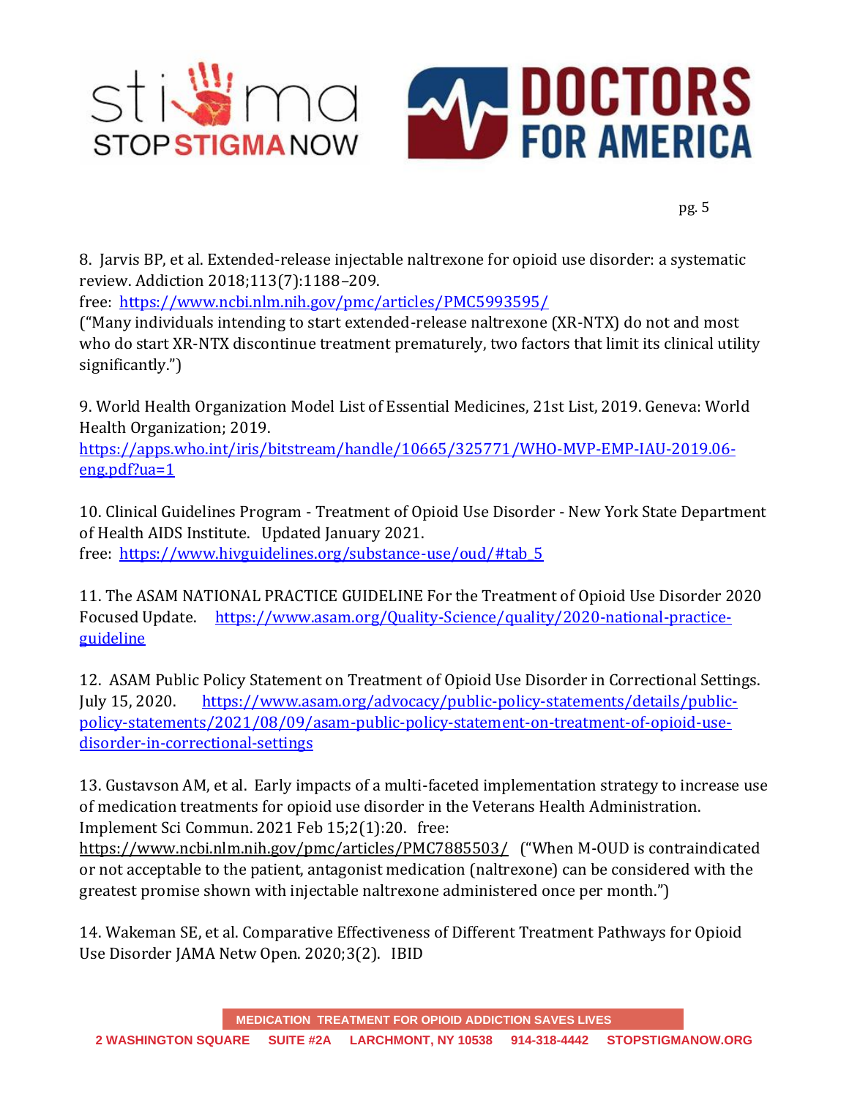

8. Jarvis BP, et al. Extended-release injectable naltrexone for opioid use disorder: a systematic review. Addiction 2018;113(7):1188–209.

free: <https://www.ncbi.nlm.nih.gov/pmc/articles/PMC5993595/>

("Many individuals intending to start extended-release naltrexone (XR-NTX) do not and most who do start XR-NTX discontinue treatment prematurely, two factors that limit its clinical utility significantly.")

9. World Health Organization Model List of Essential Medicines, 21st List, 2019. Geneva: World Health Organization; 2019.

[https://apps.who.int/iris/bitstream/handle/10665/325771/WHO-MVP-EMP-IAU-2019.06](https://apps.who.int/iris/bitstream/handle/10665/325771/WHO-MVP-EMP-IAU-2019.06-eng.pdf?ua=1) [eng.pdf?ua=1](https://apps.who.int/iris/bitstream/handle/10665/325771/WHO-MVP-EMP-IAU-2019.06-eng.pdf?ua=1)

10. Clinical Guidelines Program - Treatment of Opioid Use Disorder - New York State Department of Health AIDS Institute. Updated January 2021. free: [https://www.hivguidelines.org/substance-use/oud/#tab\\_5](https://www.hivguidelines.org/substance-use/oud/#tab_5)

11. The ASAM NATIONAL PRACTICE GUIDELINE For the Treatment of Opioid Use Disorder 2020 Focused Update. [https://www.asam.org/Quality-Science/quality/2020-national-practice](https://www.asam.org/Quality-Science/quality/2020-national-practice-guideline)[guideline](https://www.asam.org/Quality-Science/quality/2020-national-practice-guideline) 

12. ASAM Public Policy Statement on Treatment of Opioid Use Disorder in Correctional Settings. July 15, 2020. [https://www.asam.org/advocacy/public-policy-statements/details/public](https://www.asam.org/advocacy/public-policy-statements/details/public-policy-statements/2021/08/09/asam-public-policy-statement-on-treatment-of-opioid-use-disorder-in-correctional-settings)[policy-statements/2021/08/09/asam-public-policy-statement-on-treatment-of-opioid-use](https://www.asam.org/advocacy/public-policy-statements/details/public-policy-statements/2021/08/09/asam-public-policy-statement-on-treatment-of-opioid-use-disorder-in-correctional-settings)[disorder-in-correctional-settings](https://www.asam.org/advocacy/public-policy-statements/details/public-policy-statements/2021/08/09/asam-public-policy-statement-on-treatment-of-opioid-use-disorder-in-correctional-settings)

13. Gustavson AM, et al. Early impacts of a multi-faceted implementation strategy to increase use of medication treatments for opioid use disorder in the Veterans Health Administration. Implement Sci Commun. 2021 Feb 15;2(1):20. free:

<https://www.ncbi.nlm.nih.gov/pmc/articles/PMC7885503/> ("When M-OUD is contraindicated or not acceptable to the patient, antagonist medication (naltrexone) can be considered with the greatest promise shown with injectable naltrexone administered once per month.")

14. Wakeman SE, et al. Comparative Effectiveness of Different Treatment Pathways for Opioid Use Disorder JAMA Netw Open. 2020;3(2). IBID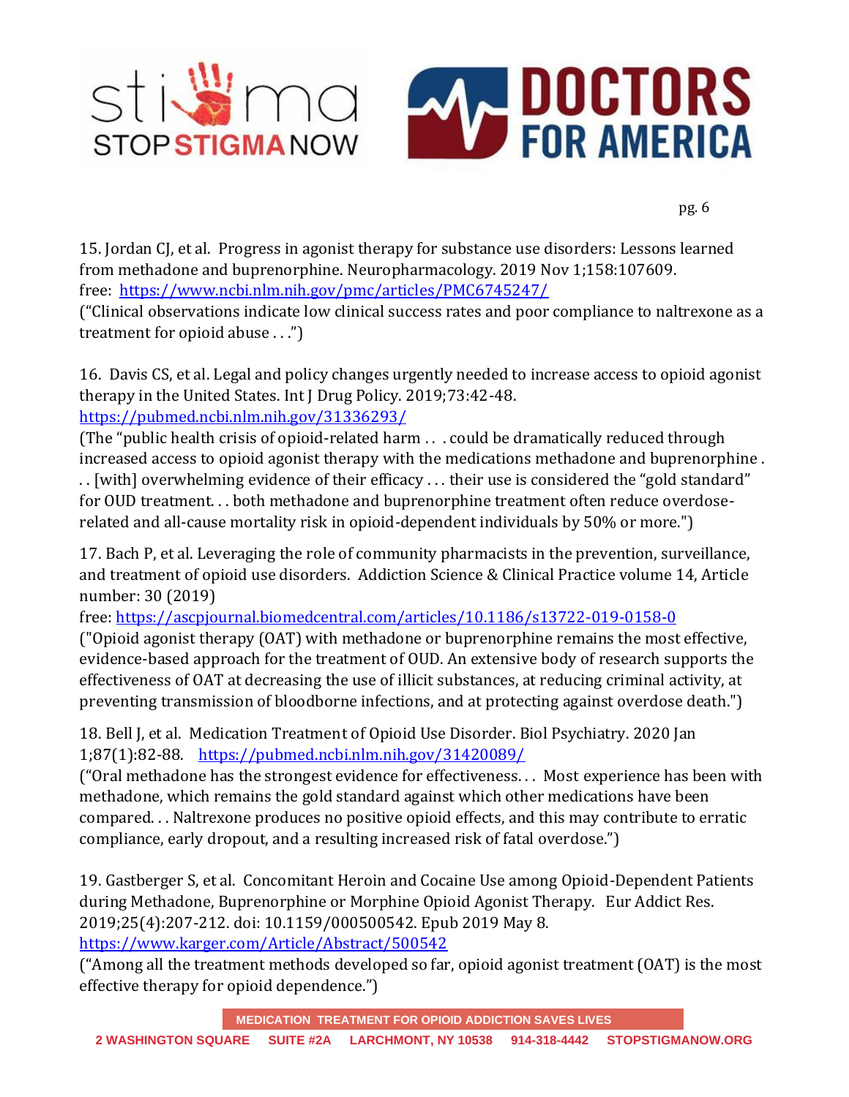

15. Jordan CJ, et al. Progress in agonist therapy for substance use disorders: Lessons learned from methadone and buprenorphine. Neuropharmacology. 2019 Nov 1;158:107609. free: <https://www.ncbi.nlm.nih.gov/pmc/articles/PMC6745247/>

("Clinical observations indicate low clinical success rates and poor compliance to naltrexone as a treatment for opioid abuse . . .")

16. Davis CS, et al. Legal and policy changes urgently needed to increase access to opioid agonist therapy in the United States. Int J Drug Policy. 2019;73:42-48. <https://pubmed.ncbi.nlm.nih.gov/31336293/>

(The "public health crisis of opioid-related harm . . . could be dramatically reduced through increased access to opioid agonist therapy with the medications methadone and buprenorphine .

. . [with] overwhelming evidence of their efficacy . . . their use is considered the "gold standard" for OUD treatment. . . both methadone and buprenorphine treatment often reduce overdoserelated and all-cause mortality risk in opioid-dependent individuals by 50% or more.")

17. Bach P, et al. Leveraging the role of community pharmacists in the prevention, surveillance, and treatment of opioid use disorders. Addiction Science & Clinical Practice volume 14, Article number: 30 (2019)

free:<https://ascpjournal.biomedcentral.com/articles/10.1186/s13722-019-0158-0>

("Opioid agonist therapy (OAT) with methadone or buprenorphine remains the most effective, evidence-based approach for the treatment of OUD. An extensive body of research supports the effectiveness of OAT at decreasing the use of illicit substances, at reducing criminal activity, at preventing transmission of bloodborne infections, and at protecting against overdose death.")

18. Bell J, et al. Medication Treatment of Opioid Use Disorder. Biol Psychiatry. 2020 Jan 1;87(1):82-88. <https://pubmed.ncbi.nlm.nih.gov/31420089/>

("Oral methadone has the strongest evidence for effectiveness. . . Most experience has been with methadone, which remains the gold standard against which other medications have been compared. . . Naltrexone produces no positive opioid effects, and this may contribute to erratic compliance, early dropout, and a resulting increased risk of fatal overdose.")

19. Gastberger S, et al. Concomitant Heroin and Cocaine Use among Opioid-Dependent Patients during Methadone, Buprenorphine or Morphine Opioid Agonist Therapy. Eur Addict Res. 2019;25(4):207-212. doi: 10.1159/000500542. Epub 2019 May 8.

<https://www.karger.com/Article/Abstract/500542>

("Among all the treatment methods developed so far, opioid agonist treatment (OAT) is the most effective therapy for opioid dependence.")

**MEDICATION TREATMENT FOR OPIOID ADDICTION SAVES LIVES**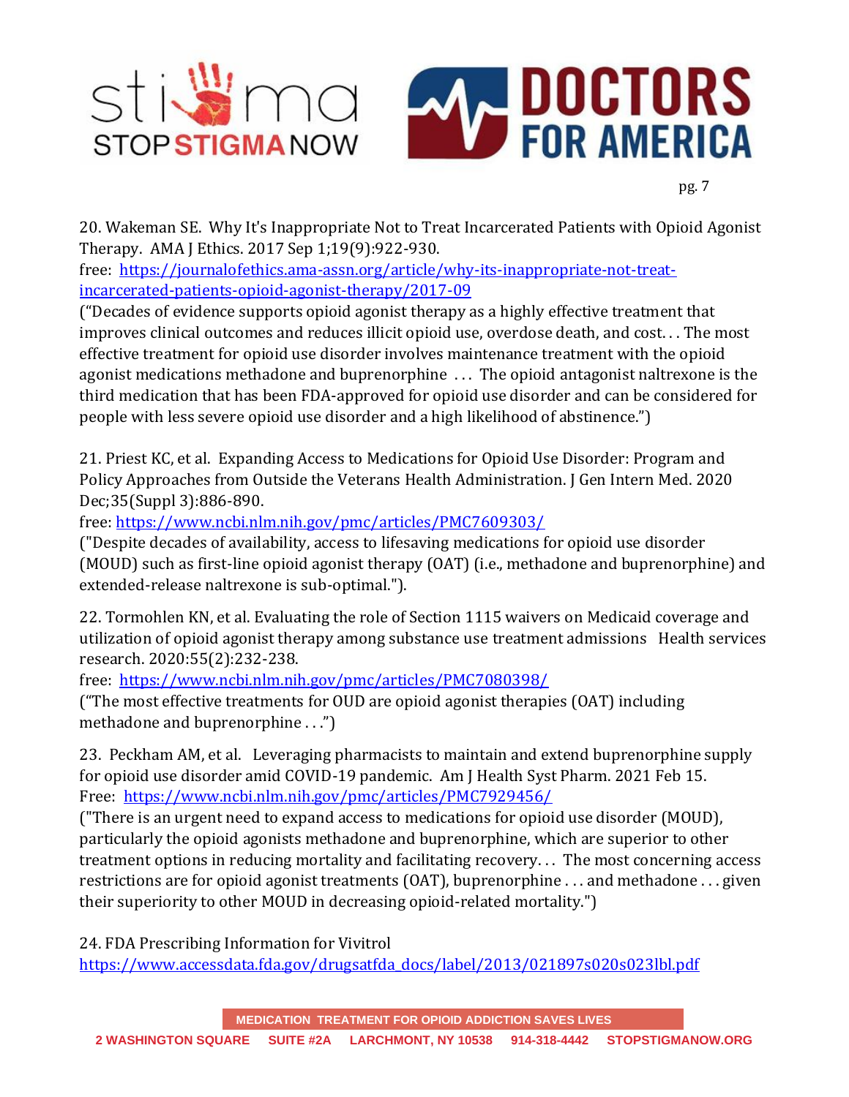

20. Wakeman SE. Why It's Inappropriate Not to Treat Incarcerated Patients with Opioid Agonist Therapy. AMA J Ethics. 2017 Sep 1;19(9):922-930.

free: [https://journalofethics.ama-assn.org/article/why-its-inappropriate-not-treat](https://journalofethics.ama-assn.org/article/why-its-inappropriate-not-treat-incarcerated-patients-opioid-agonist-therapy/2017-09)[incarcerated-patients-opioid-agonist-therapy/2017-09](https://journalofethics.ama-assn.org/article/why-its-inappropriate-not-treat-incarcerated-patients-opioid-agonist-therapy/2017-09) 

("Decades of evidence supports opioid agonist therapy as a highly effective treatment that improves clinical outcomes and reduces illicit opioid use, overdose death, and cost. . . The most effective treatment for opioid use disorder involves maintenance treatment with the opioid agonist medications methadone and buprenorphine . . . The opioid antagonist naltrexone is the third medication that has been FDA-approved for opioid use disorder and can be considered for people with less severe opioid use disorder and a high likelihood of abstinence.")

21. Priest KC, et al. Expanding Access to Medications for Opioid Use Disorder: Program and Policy Approaches from Outside the Veterans Health Administration. J Gen Intern Med. 2020 Dec;35(Suppl 3):886-890.

free:<https://www.ncbi.nlm.nih.gov/pmc/articles/PMC7609303/>

("Despite decades of availability, access to lifesaving medications for opioid use disorder (MOUD) such as first-line opioid agonist therapy (OAT) (i.e., methadone and buprenorphine) and extended-release naltrexone is sub-optimal.").

22. Tormohlen KN, et al. Evaluating the role of Section 1115 waivers on Medicaid coverage and utilization of opioid agonist therapy among substance use treatment admissions Health services research. 2020:55(2):232-238.

free: <https://www.ncbi.nlm.nih.gov/pmc/articles/PMC7080398/>

("The most effective treatments for OUD are opioid agonist therapies (OAT) including methadone and buprenorphine . . .")

23. Peckham AM, et al. Leveraging pharmacists to maintain and extend buprenorphine supply for opioid use disorder amid COVID-19 pandemic. Am J Health Syst Pharm. 2021 Feb 15. Free: <https://www.ncbi.nlm.nih.gov/pmc/articles/PMC7929456/>

("There is an urgent need to expand access to medications for opioid use disorder (MOUD), particularly the opioid agonists methadone and buprenorphine, which are superior to other treatment options in reducing mortality and facilitating recovery. . . The most concerning access restrictions are for opioid agonist treatments (OAT), buprenorphine . . . and methadone . . . given their superiority to other MOUD in decreasing opioid-related mortality.")

24. FDA Prescribing Information for Vivitrol [https://www.accessdata.fda.gov/drugsatfda\\_docs/label/2013/021897s020s023lbl.pdf](https://www.accessdata.fda.gov/drugsatfda_docs/label/2013/021897s020s023lbl.pdf)

**MEDICATION TREATMENT FOR OPIOID ADDICTION SAVES LIVES**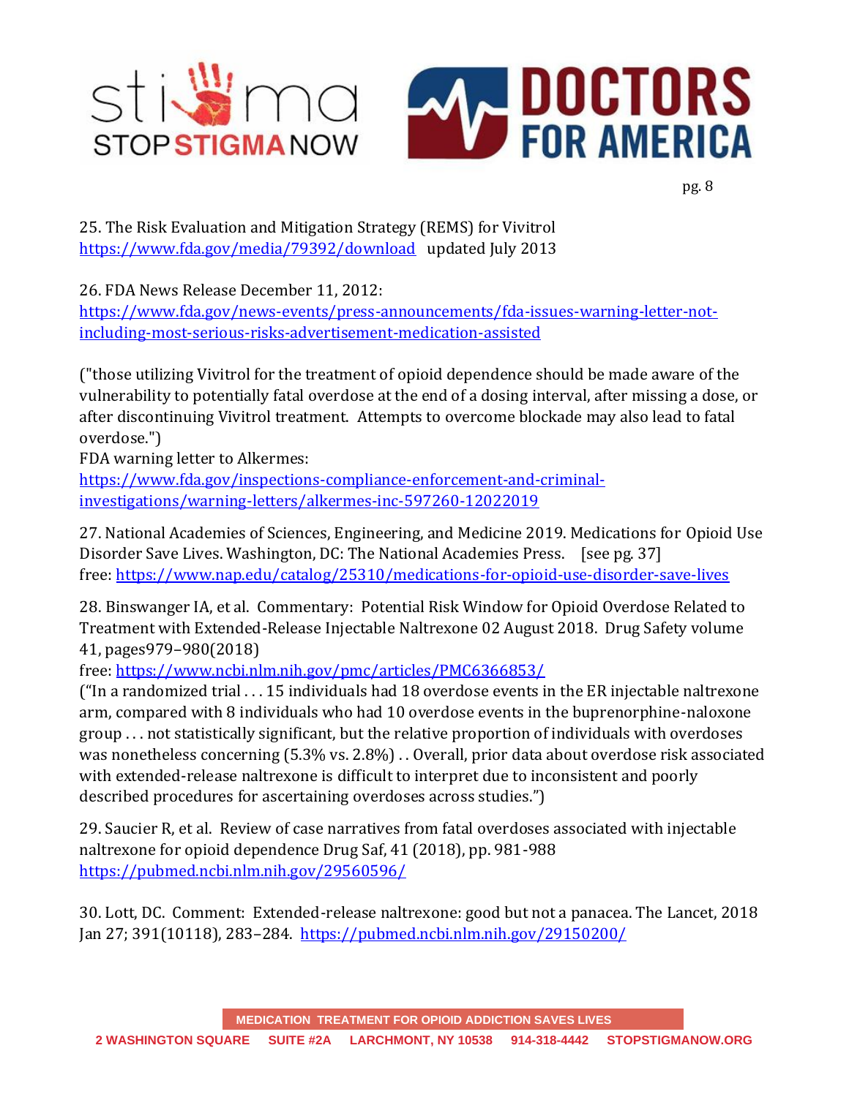

25. The Risk Evaluation and Mitigation Strategy (REMS) for Vivitrol <https://www.fda.gov/media/79392/download>updated July 2013

26. FDA News Release December 11, 2012:

[https://www.fda.gov/news-events/press-announcements/fda-issues-warning-letter-not](https://www.fda.gov/news-events/press-announcements/fda-issues-warning-letter-not-including-most-serious-risks-advertisement-medication-assisted)[including-most-serious-risks-advertisement-medication-assisted](https://www.fda.gov/news-events/press-announcements/fda-issues-warning-letter-not-including-most-serious-risks-advertisement-medication-assisted)

("those utilizing Vivitrol for the treatment of opioid dependence should be made aware of the vulnerability to potentially fatal overdose at the end of a dosing interval, after missing a dose, or after discontinuing Vivitrol treatment. Attempts to overcome blockade may also lead to fatal overdose.")

FDA warning letter to Alkermes:

[https://www.fda.gov/inspections-compliance-enforcement-and-criminal](https://www.fda.gov/inspections-compliance-enforcement-and-criminal-investigations/warning-letters/alkermes-inc-597260-12022019)[investigations/warning-letters/alkermes-inc-597260-12022019](https://www.fda.gov/inspections-compliance-enforcement-and-criminal-investigations/warning-letters/alkermes-inc-597260-12022019)

27. National Academies of Sciences, Engineering, and Medicine 2019. Medications for Opioid Use Disorder Save Lives. Washington, DC: The National Academies Press. [see pg. 37] free: <https://www.nap.edu/catalog/25310/medications-for-opioid-use-disorder-save-lives>

28. Binswanger IA, et al. Commentary: Potential Risk Window for Opioid Overdose Related to Treatment with Extended-Release Injectable Naltrexone 02 August 2018. Drug Safety volume 41, pages979–980(2018)

free:<https://www.ncbi.nlm.nih.gov/pmc/articles/PMC6366853/>

("In a randomized trial . . . 15 individuals had 18 overdose events in the ER injectable naltrexone arm, compared with 8 individuals who had 10 overdose events in the buprenorphine-naloxone group . . . not statistically significant, but the relative proportion of individuals with overdoses was nonetheless concerning (5.3% vs. 2.8%) . . Overall, prior data about overdose risk associated with extended-release naltrexone is difficult to interpret due to inconsistent and poorly described procedures for ascertaining overdoses across studies.")

29. Saucier R, et al. Review of case narratives from fatal overdoses associated with injectable naltrexone for opioid dependence Drug Saf, 41 (2018), pp. 981-988 <https://pubmed.ncbi.nlm.nih.gov/29560596/>

30. Lott, DC. Comment: Extended-release naltrexone: good but not a panacea. The Lancet, 2018 Jan 27; 391(10118), 283–284. <https://pubmed.ncbi.nlm.nih.gov/29150200/>